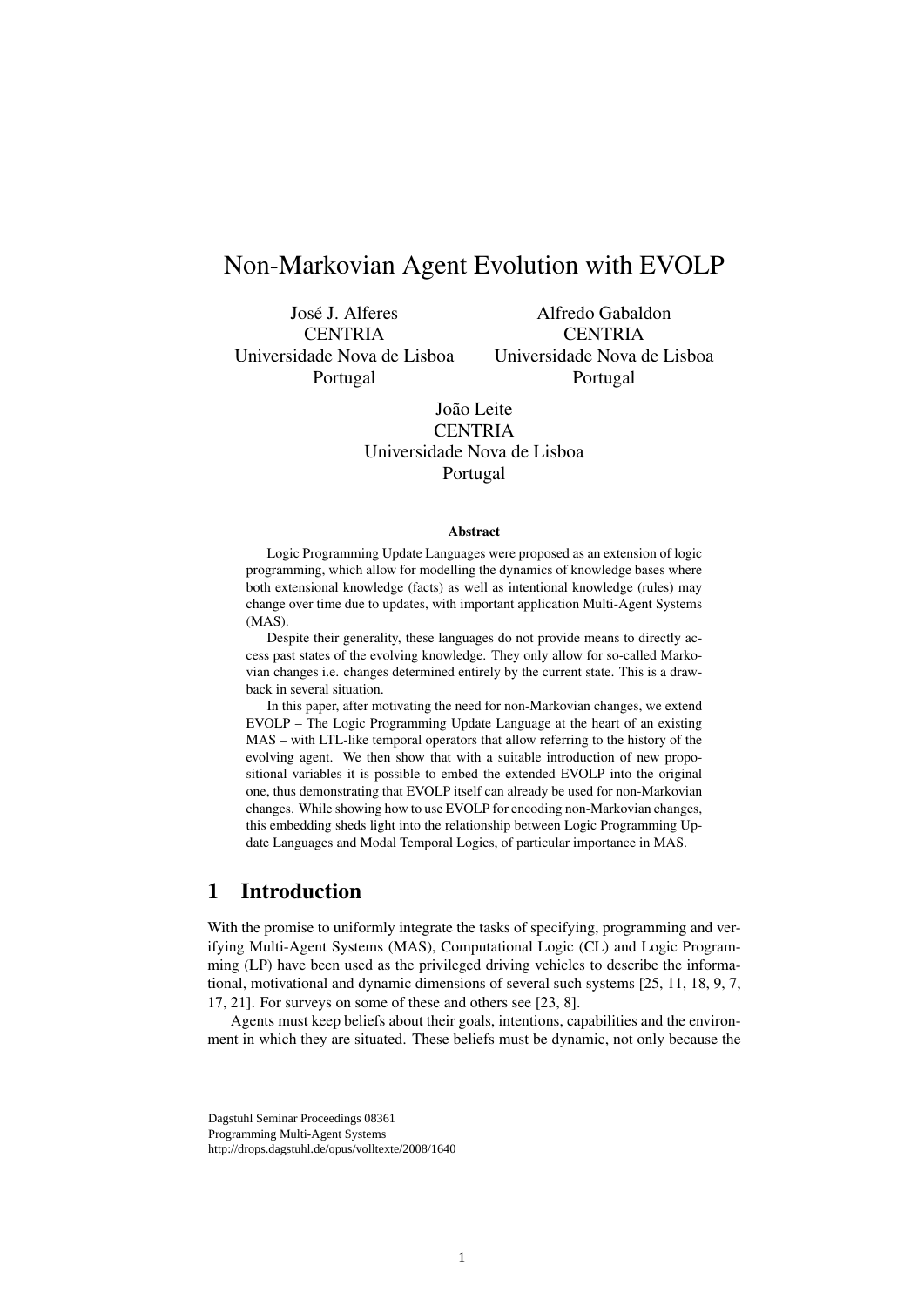# Non-Markovian Agent Evolution with EVOLP

José J. Alferes **CENTRIA** Universidade Nova de Lisboa Portugal

Alfredo Gabaldon **CENTRIA** Universidade Nova de Lisboa Portugal

João Leite **CENTRIA** Universidade Nova de Lisboa Portugal

#### **Abstract**

Logic Programming Update Languages were proposed as an extension of logic programming, which allow for modelling the dynamics of knowledge bases where both extensional knowledge (facts) as well as intentional knowledge (rules) may change over time due to updates, with important application Multi-Agent Systems (MAS).

Despite their generality, these languages do not provide means to directly access past states of the evolving knowledge. They only allow for so-called Markovian changes i.e. changes determined entirely by the current state. This is a drawback in several situation.

In this paper, after motivating the need for non-Markovian changes, we extend EVOLP – The Logic Programming Update Language at the heart of an existing MAS – with LTL-like temporal operators that allow referring to the history of the evolving agent. We then show that with a suitable introduction of new propositional variables it is possible to embed the extended EVOLP into the original one, thus demonstrating that EVOLP itself can already be used for non-Markovian changes. While showing how to use EVOLP for encoding non-Markovian changes, this embedding sheds light into the relationship between Logic Programming Update Languages and Modal Temporal Logics, of particular importance in MAS.

#### 1 Introduction

With the promise to uniformly integrate the tasks of specifying, programming and verifying Multi-Agent Systems (MAS), Computational Logic (CL) and Logic Programming (LP) have been used as the privileged driving vehicles to describe the informational, motivational and dynamic dimensions of several such systems [25, 11, 18, 9, 7, 17, 21]. For surveys on some of these and others see [23, 8].

Agents must keep beliefs about their goals, intentions, capabilities and the environment in which they are situated. These beliefs must be dynamic, not only because the

Dagstuhl Seminar Proceedings 08361 Programming Multi-Agent Systems http://drops.dagstuhl.de/opus/volltexte/2008/1640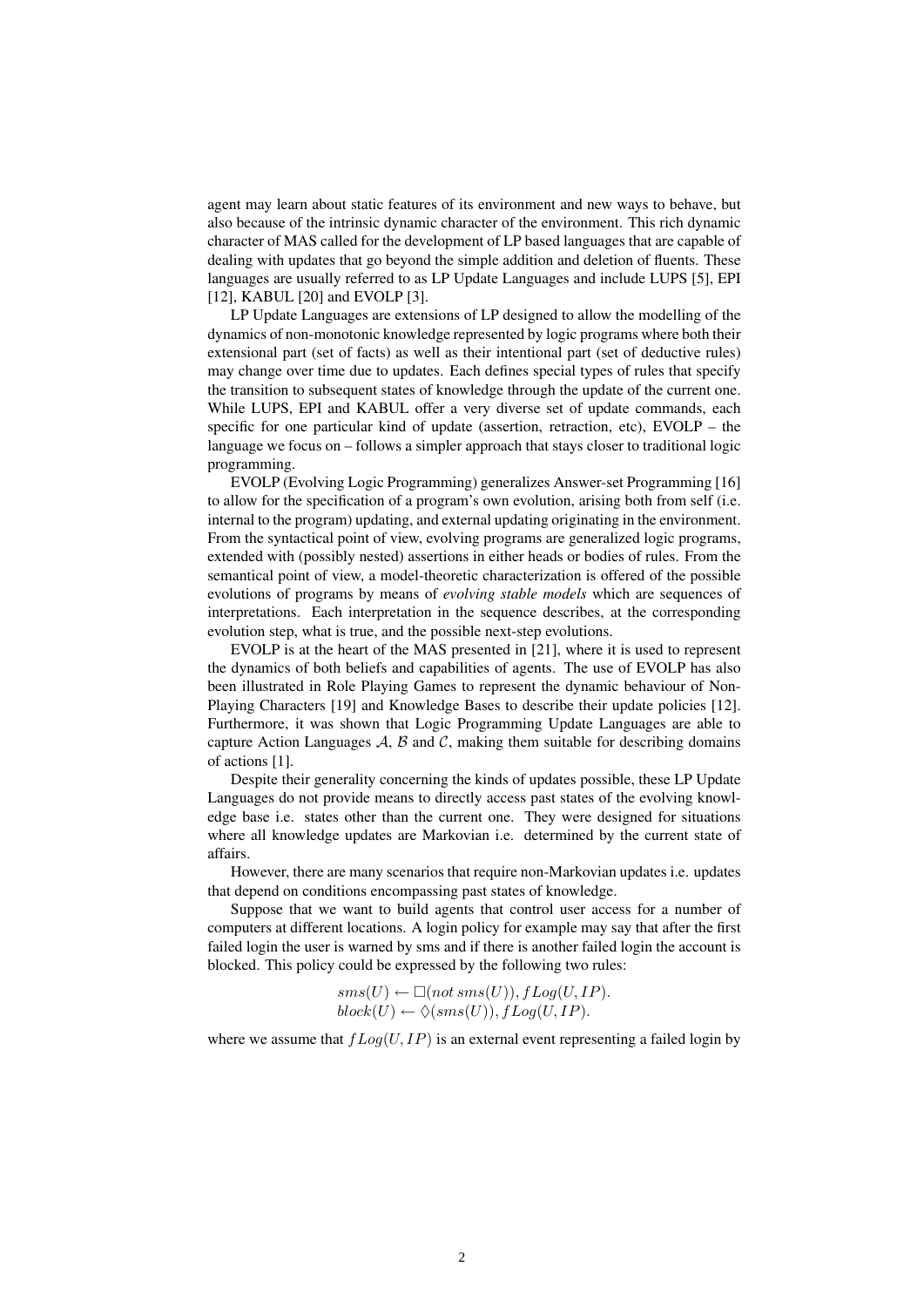agent may learn about static features of its environment and new ways to behave, but also because of the intrinsic dynamic character of the environment. This rich dynamic character of MAS called for the development of LP based languages that are capable of dealing with updates that go beyond the simple addition and deletion of fluents. These languages are usually referred to as LP Update Languages and include LUPS [5], EPI [12], KABUL [20] and EVOLP [3].

LP Update Languages are extensions of LP designed to allow the modelling of the dynamics of non-monotonic knowledge represented by logic programs where both their extensional part (set of facts) as well as their intentional part (set of deductive rules) may change over time due to updates. Each defines special types of rules that specify the transition to subsequent states of knowledge through the update of the current one. While LUPS, EPI and KABUL offer a very diverse set of update commands, each specific for one particular kind of update (assertion, retraction, etc), EVOLP – the language we focus on – follows a simpler approach that stays closer to traditional logic programming.

EVOLP (Evolving Logic Programming) generalizes Answer-set Programming [16] to allow for the specification of a program's own evolution, arising both from self (i.e. internal to the program) updating, and external updating originating in the environment. From the syntactical point of view, evolving programs are generalized logic programs, extended with (possibly nested) assertions in either heads or bodies of rules. From the semantical point of view, a model-theoretic characterization is offered of the possible evolutions of programs by means of *evolving stable models* which are sequences of interpretations. Each interpretation in the sequence describes, at the corresponding evolution step, what is true, and the possible next-step evolutions.

EVOLP is at the heart of the MAS presented in [21], where it is used to represent the dynamics of both beliefs and capabilities of agents. The use of EVOLP has also been illustrated in Role Playing Games to represent the dynamic behaviour of Non-Playing Characters [19] and Knowledge Bases to describe their update policies [12]. Furthermore, it was shown that Logic Programming Update Languages are able to capture Action Languages  $A$ ,  $B$  and  $C$ , making them suitable for describing domains of actions [1].

Despite their generality concerning the kinds of updates possible, these LP Update Languages do not provide means to directly access past states of the evolving knowledge base i.e. states other than the current one. They were designed for situations where all knowledge updates are Markovian i.e. determined by the current state of affairs.

However, there are many scenarios that require non-Markovian updates i.e. updates that depend on conditions encompassing past states of knowledge.

Suppose that we want to build agents that control user access for a number of computers at different locations. A login policy for example may say that after the first failed login the user is warned by sms and if there is another failed login the account is blocked. This policy could be expressed by the following two rules:

> $sms(U) \leftarrow \Box(not\,sms(U)), fLog(U, IP).$  $block(U) \leftarrow \Diamond(sms(U)), fLog(U, IP).$

where we assume that  $fLog(U, IP)$  is an external event representing a failed login by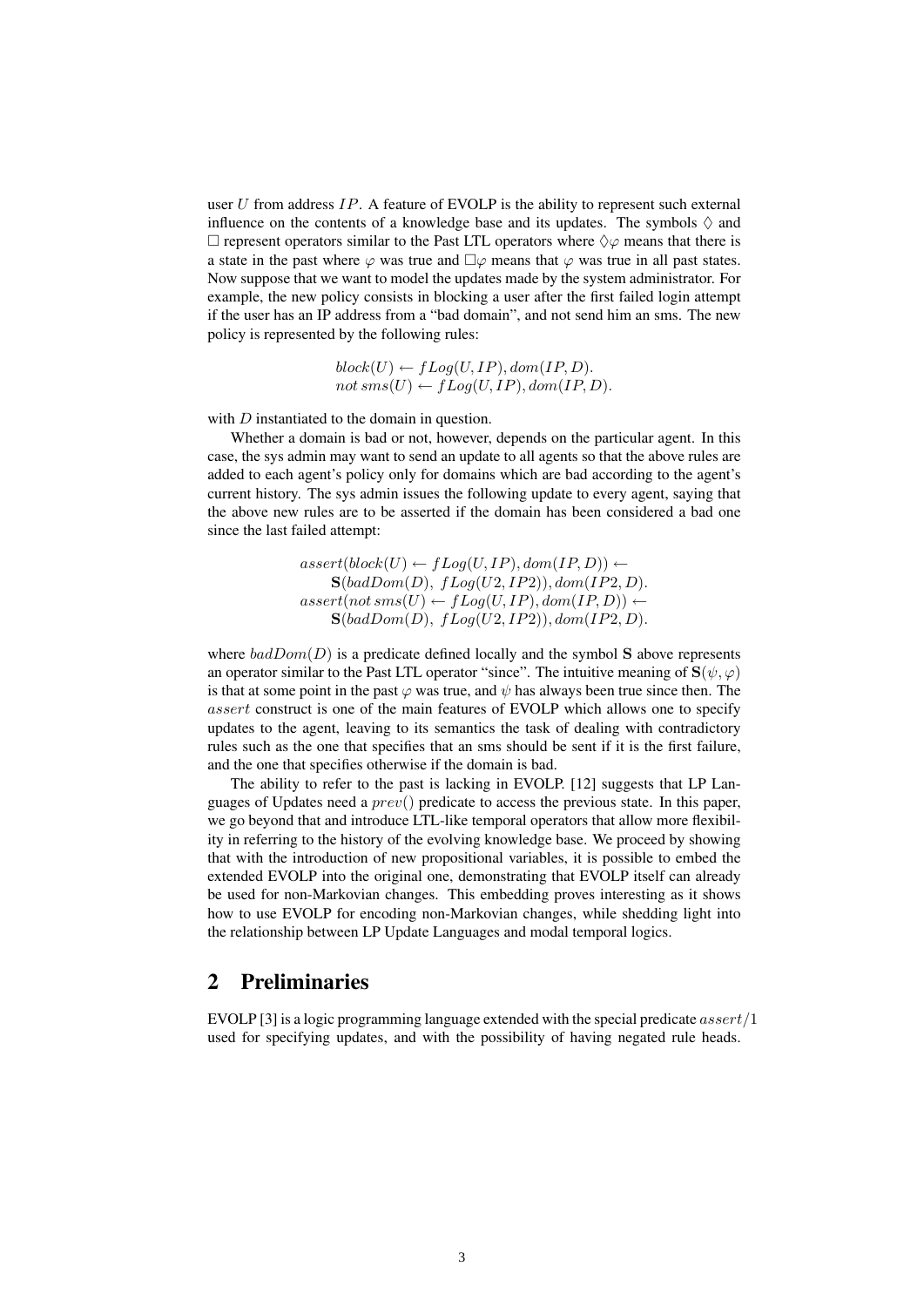user U from address  $IP$ . A feature of EVOLP is the ability to represent such external influence on the contents of a knowledge base and its updates. The symbols  $\Diamond$  and  $\Box$  represent operators similar to the Past LTL operators where  $\Diamond \varphi$  means that there is a state in the past where  $\varphi$  was true and  $\Box \varphi$  means that  $\varphi$  was true in all past states. Now suppose that we want to model the updates made by the system administrator. For example, the new policy consists in blocking a user after the first failed login attempt if the user has an IP address from a "bad domain", and not send him an sms. The new policy is represented by the following rules:

> $block(U) \leftarrow fLog(U, IP), dom/IP, D).$  $not \, sms(U) \leftarrow fLog(U, IP), dom/IP, D).$

with D instantiated to the domain in question.

Whether a domain is bad or not, however, depends on the particular agent. In this case, the sys admin may want to send an update to all agents so that the above rules are added to each agent's policy only for domains which are bad according to the agent's current history. The sys admin issues the following update to every agent, saying that the above new rules are to be asserted if the domain has been considered a bad one since the last failed attempt:

> $assert(block(U) \leftarrow fLog(U, IP), dom/IP, D)$  ←  $S(badDom(D), fLog(U2, IP2)), dom(ID, D).$  $assert(not\,sms(U) \leftarrow fLog(U, IP), dom/IP, D)) \leftarrow$  $S(badDom(D), fLog(U2, IP2)), dom(ID, D).$

where  $badDom(D)$  is a predicate defined locally and the symbol S above represents an operator similar to the Past LTL operator "since". The intuitive meaning of  $S(\psi, \varphi)$ is that at some point in the past  $\varphi$  was true, and  $\psi$  has always been true since then. The assert construct is one of the main features of EVOLP which allows one to specify updates to the agent, leaving to its semantics the task of dealing with contradictory rules such as the one that specifies that an sms should be sent if it is the first failure, and the one that specifies otherwise if the domain is bad.

The ability to refer to the past is lacking in EVOLP. [12] suggests that LP Languages of Updates need a  $prev()$  predicate to access the previous state. In this paper, we go beyond that and introduce LTL-like temporal operators that allow more flexibility in referring to the history of the evolving knowledge base. We proceed by showing that with the introduction of new propositional variables, it is possible to embed the extended EVOLP into the original one, demonstrating that EVOLP itself can already be used for non-Markovian changes. This embedding proves interesting as it shows how to use EVOLP for encoding non-Markovian changes, while shedding light into the relationship between LP Update Languages and modal temporal logics.

#### 2 Preliminaries

EVOLP [3] is a logic programming language extended with the special predicate  $assert/1$ used for specifying updates, and with the possibility of having negated rule heads.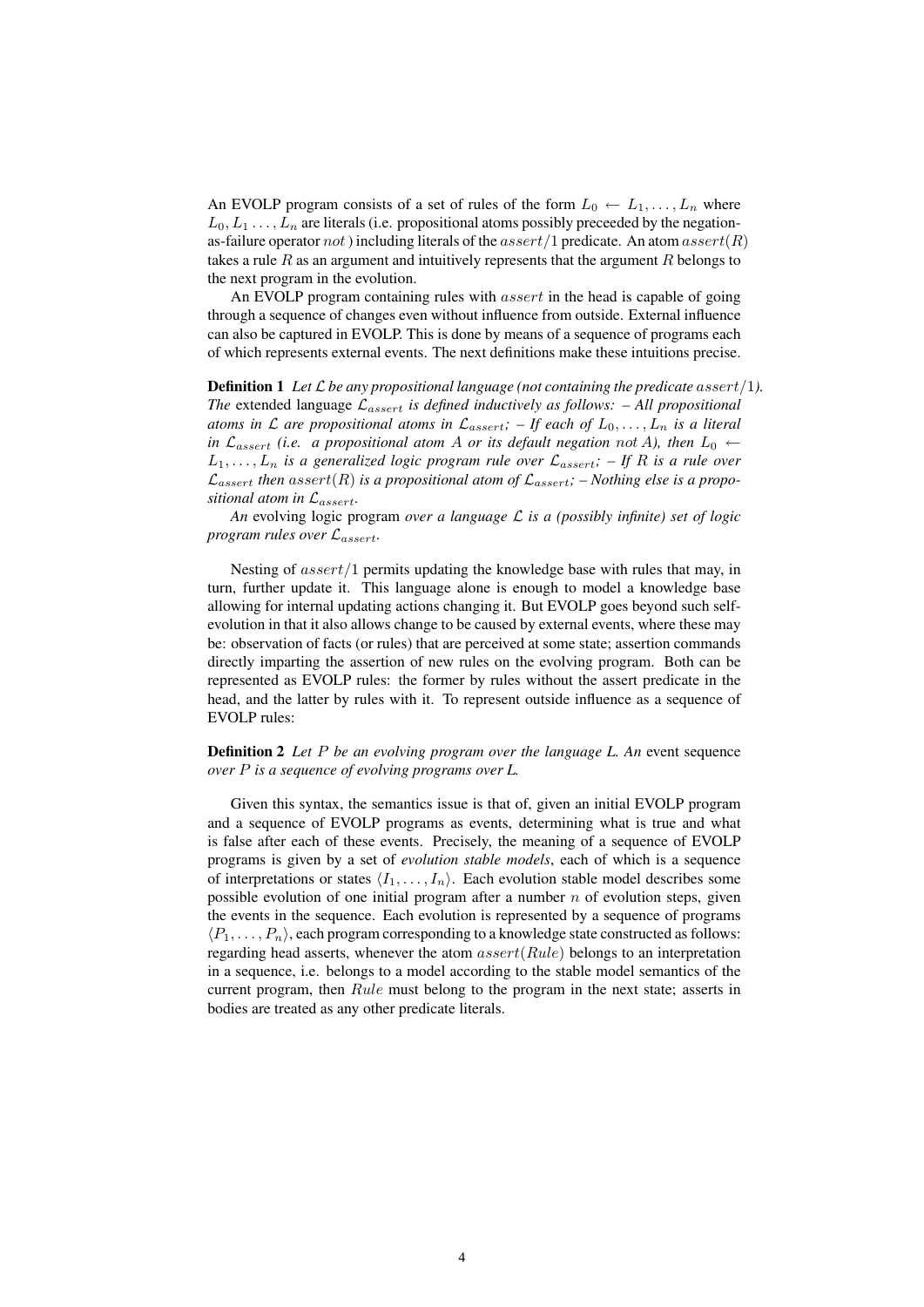An EVOLP program consists of a set of rules of the form  $L_0 \leftarrow L_1, \ldots, L_n$  where  $L_0, L_1, \ldots, L_n$  are literals (i.e. propositional atoms possibly preceeded by the negationas-failure operator not) including literals of the  $assert/1$  predicate. An atom  $assert(R)$ takes a rule  $R$  as an argument and intuitively represents that the argument  $R$  belongs to the next program in the evolution.

An EVOLP program containing rules with *assert* in the head is capable of going through a sequence of changes even without influence from outside. External influence can also be captured in EVOLP. This is done by means of a sequence of programs each of which represents external events. The next definitions make these intuitions precise.

**Definition 1** Let  $\mathcal{L}$  be any propositional language (not containing the predicate assert/1). *The* extended language  $\mathcal{L}_{assert}$  *is defined inductively as follows: – All propositional atoms in*  $\mathcal L$  *are propositional atoms in*  $\mathcal L_{assert}$ *;*  $-$  *If each of*  $L_0, \ldots, L_n$  *is a literal in*  $\mathcal{L}_{assert}$  *(i.e. a propositional atom A or its default negation not A), then*  $L_0 \leftarrow$  $L_1, \ldots, L_n$  *is a generalized logic program rule over*  $\mathcal{L}_{assert}$ ;  $-$  If R *is a rule over*  $\mathcal{L}_{assert}$  then assert(R) is a propositional atom of  $\mathcal{L}_{assert}$ ; – Nothing else is a propo*sitional atom in* Lassert*.*

*An* evolving logic program *over a language* L *is a (possibly infinite) set of logic program rules over* Lassert*.*

Nesting of  $assert/1$  permits updating the knowledge base with rules that may, in turn, further update it. This language alone is enough to model a knowledge base allowing for internal updating actions changing it. But EVOLP goes beyond such selfevolution in that it also allows change to be caused by external events, where these may be: observation of facts (or rules) that are perceived at some state; assertion commands directly imparting the assertion of new rules on the evolving program. Both can be represented as EVOLP rules: the former by rules without the assert predicate in the head, and the latter by rules with it. To represent outside influence as a sequence of EVOLP rules:

Definition 2 *Let* P *be an evolving program over the language L. An* event sequence *over* P *is a sequence of evolving programs over L.*

Given this syntax, the semantics issue is that of, given an initial EVOLP program and a sequence of EVOLP programs as events, determining what is true and what is false after each of these events. Precisely, the meaning of a sequence of EVOLP programs is given by a set of *evolution stable models*, each of which is a sequence of interpretations or states  $\langle I_1, \ldots, I_n \rangle$ . Each evolution stable model describes some possible evolution of one initial program after a number  $n$  of evolution steps, given the events in the sequence. Each evolution is represented by a sequence of programs  $\langle P_1, \ldots, P_n \rangle$ , each program corresponding to a knowledge state constructed as follows: regarding head asserts, whenever the atom  $assert(Rule)$  belongs to an interpretation in a sequence, i.e. belongs to a model according to the stable model semantics of the current program, then Rule must belong to the program in the next state; asserts in bodies are treated as any other predicate literals.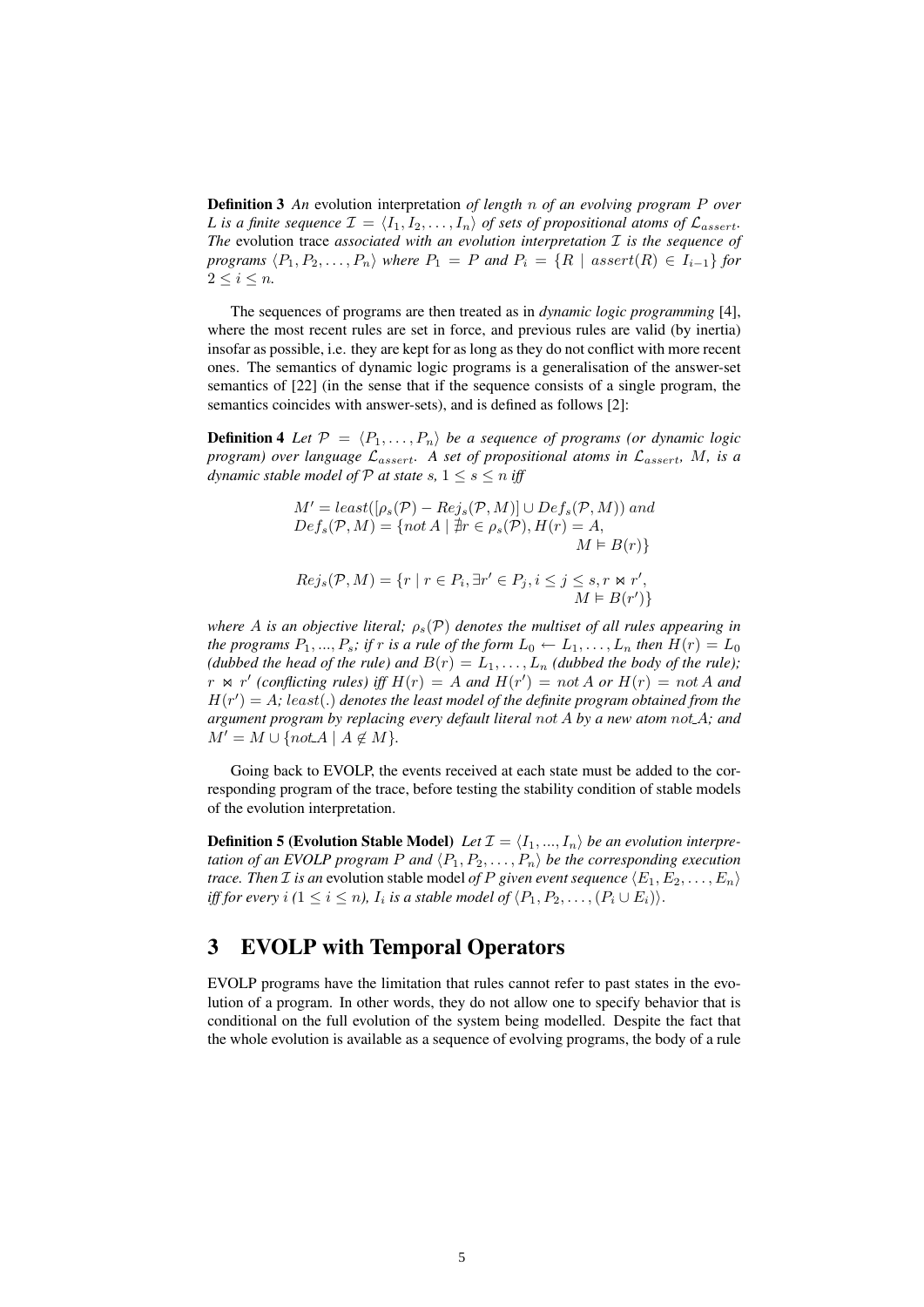Definition 3 *An* evolution interpretation *of length* n *of an evolving program* P *over L* is a finite sequence  $\mathcal{I} = \langle I_1, I_2, \ldots, I_n \rangle$  of sets of propositional atoms of  $\mathcal{L}_{assert}$ . *The* evolution trace *associated with an evolution interpretation* I *is the sequence of programs*  $\langle P_1, P_2, \ldots, P_n \rangle$  *where*  $P_1 = P$  *and*  $P_i = \{R \mid assert(R) \in I_{i-1}\}$  *for*  $2 \leq i \leq n$ .

The sequences of programs are then treated as in *dynamic logic programming* [4], where the most recent rules are set in force, and previous rules are valid (by inertia) insofar as possible, i.e. they are kept for as long as they do not conflict with more recent ones. The semantics of dynamic logic programs is a generalisation of the answer-set semantics of [22] (in the sense that if the sequence consists of a single program, the semantics coincides with answer-sets), and is defined as follows [2]:

**Definition 4** Let  $\mathcal{P} = \langle P_1, \ldots, P_n \rangle$  be a sequence of programs (or dynamic logic *program) over language*  $\mathcal{L}_{assert}$ . A set of propositional atoms in  $\mathcal{L}_{assert}$ , M, is a *dynamic stable model of*  $P$  *at state*  $s, 1 \leq s \leq n$  *iff* 

$$
M' = least([\rho_s(\mathcal{P}) - Rej_s(\mathcal{P}, M)] \cup Def_s(\mathcal{P}, M)) \text{ and}
$$
  
\n
$$
Def_s(\mathcal{P}, M) = \{ not \ A \mid \nexists r \in \rho_s(\mathcal{P}), H(r) = A,
$$
  
\n
$$
M \models B(r) \}
$$
  
\n
$$
Rej_s(\mathcal{P}, M) = \{ r \mid r \in P_i, \exists r' \in P_j, i \le j \le s, r \Join r',
$$
  
\n
$$
M \models B(r') \}
$$

*where* A *is an objective literal;*  $\rho_s(\mathcal{P})$  *denotes the multiset of all rules appearing in the programs*  $P_1, ..., P_s$ *; if* r *is a rule of the form*  $L_0 \leftarrow L_1, ..., L_n$  *then*  $H(r) = L_0$ *(dubbed the head of the rule) and*  $B(r) = L_1, \ldots, L_n$  *(dubbed the body of the rule)*;  $r \bowtie r'$  (conflicting rules) iff  $H(r) = A$  and  $H(r') = not A$  or  $H(r) = not A$  and  $H(r') = A$ ; least(.) denotes the least model of the definite program obtained from the *argument program by replacing every default literal* not A *by a new atom* not A*; and*  $M' = M \cup \{notA \mid A \notin M\}.$ 

Going back to EVOLP, the events received at each state must be added to the corresponding program of the trace, before testing the stability condition of stable models of the evolution interpretation.

**Definition 5 (Evolution Stable Model)** Let  $\mathcal{I} = \langle I_1, ..., I_n \rangle$  be an evolution interpre*tation of an EVOLP program P and*  $\langle P_1, P_2, \ldots, P_n \rangle$  *be the corresponding execution trace. Then I is an* evolution stable model *of P given event sequence*  $\langle E_1, E_2, \ldots, E_n \rangle$ *iff for every i (* $1 \leq i \leq n$ ),  $I_i$  *is a stable model of*  $\langle P_1, P_2, \ldots, (P_i \cup E_i) \rangle$ .

### 3 EVOLP with Temporal Operators

EVOLP programs have the limitation that rules cannot refer to past states in the evolution of a program. In other words, they do not allow one to specify behavior that is conditional on the full evolution of the system being modelled. Despite the fact that the whole evolution is available as a sequence of evolving programs, the body of a rule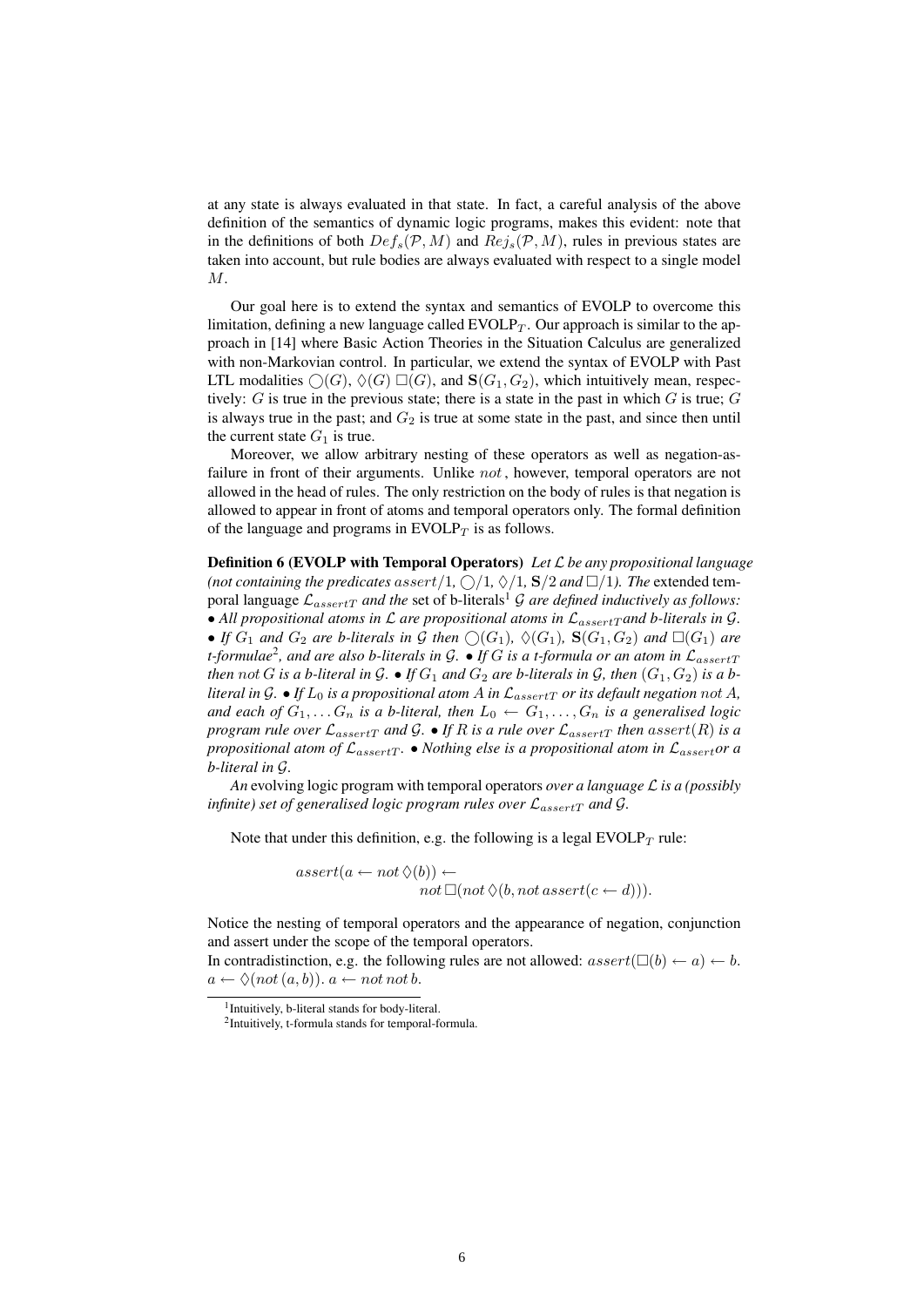at any state is always evaluated in that state. In fact, a careful analysis of the above definition of the semantics of dynamic logic programs, makes this evident: note that in the definitions of both  $Def_s(\mathcal{P}, M)$  and  $Ref_s(\mathcal{P}, M)$ , rules in previous states are taken into account, but rule bodies are always evaluated with respect to a single model M.

Our goal here is to extend the syntax and semantics of EVOLP to overcome this limitation, defining a new language called  $EVOLP_T$ . Our approach is similar to the approach in [14] where Basic Action Theories in the Situation Calculus are generalized with non-Markovian control. In particular, we extend the syntax of EVOLP with Past LTL modalities  $\bigcirc(G)$ ,  $\Diamond(G) \square(G)$ , and  $\mathbf{S}(G_1, G_2)$ , which intuitively mean, respectively:  $G$  is true in the previous state; there is a state in the past in which  $G$  is true;  $G$ is always true in the past; and  $G_2$  is true at some state in the past, and since then until the current state  $G_1$  is true.

Moreover, we allow arbitrary nesting of these operators as well as negation-asfailure in front of their arguments. Unlike *not*, however, temporal operators are not allowed in the head of rules. The only restriction on the body of rules is that negation is allowed to appear in front of atoms and temporal operators only. The formal definition of the language and programs in  $EVOLP_T$  is as follows.

Definition 6 (EVOLP with Temporal Operators) *Let* L *be any propositional language* (not containing the predicates assert/1,  $\bigcirc$ /1,  $\Diamond$ /1, **S**/2 and  $\Box$ /1). The extended temporal language  $\mathcal{L}_{assertT}$  and the set of b-literals<sup>1</sup>  $\mathcal G$  are defined inductively as follows: • All propositional atoms in  $\mathcal L$  are propositional atoms in  $\mathcal L_{assertT}$  and b-literals in  $\mathcal G$ . • If  $G_1$  and  $G_2$  are b-literals in G then  $\bigcirc(G_1)$ ,  $\Diamond(G_1)$ ,  $\mathbf{S}(G_1, G_2)$  and  $\square(G_1)$  are *t-formulae*<sup>2</sup> *, and are also b-literals in* G*.* • *If* G *is a t-formula or an atom in* LassertT *then* not G is a b-literal in G.  $\bullet$  If  $G_1$  and  $G_2$  are b-literals in G, then  $(G_1, G_2)$  is a b*literal in*  $G$ . • *If*  $L_0$  *is a propositional atom*  $A$  *in*  $\mathcal{L}_{assertT}$  *or its default negation not*  $A$ *, and each of*  $G_1, \ldots, G_n$  *is a b-literal, then*  $L_0 \leftarrow G_1, \ldots, G_n$  *is a generalised logic program rule over*  $\mathcal{L}_{assertT}$  *and*  $\mathcal{G}$ . • If R is a rule over  $\mathcal{L}_{assertT}$  *then* assert(R) *is a propositional atom of*  $\mathcal{L}_{assertT}$ . • *Nothing else is a propositional atom in*  $\mathcal{L}_{assert}$ *or a b-literal in* G*.*

*An* evolving logic program with temporal operators *over a language* L *is a (possibly infinite) set of generalised logic program rules over*  $\mathcal{L}_{assertT}$  *and*  $\mathcal{G}$ *.* 

Note that under this definition, e.g. the following is a legal  $EVOLP_T$  rule:

$$
assert(a \leftarrow not \Diamond(b)) \leftarrownot \Box(not \Diamond(b, not \, assert(c \leftarrow d))).
$$

Notice the nesting of temporal operators and the appearance of negation, conjunction and assert under the scope of the temporal operators.

In contradistinction, e.g. the following rules are not allowed:  $assert(\Box(b) \leftarrow a) \leftarrow b$ .  $a \leftarrow \Diamond (not (a, b)).$   $a \leftarrow not not b.$ 

<sup>1</sup> Intuitively, b-literal stands for body-literal.

<sup>2</sup> Intuitively, t-formula stands for temporal-formula.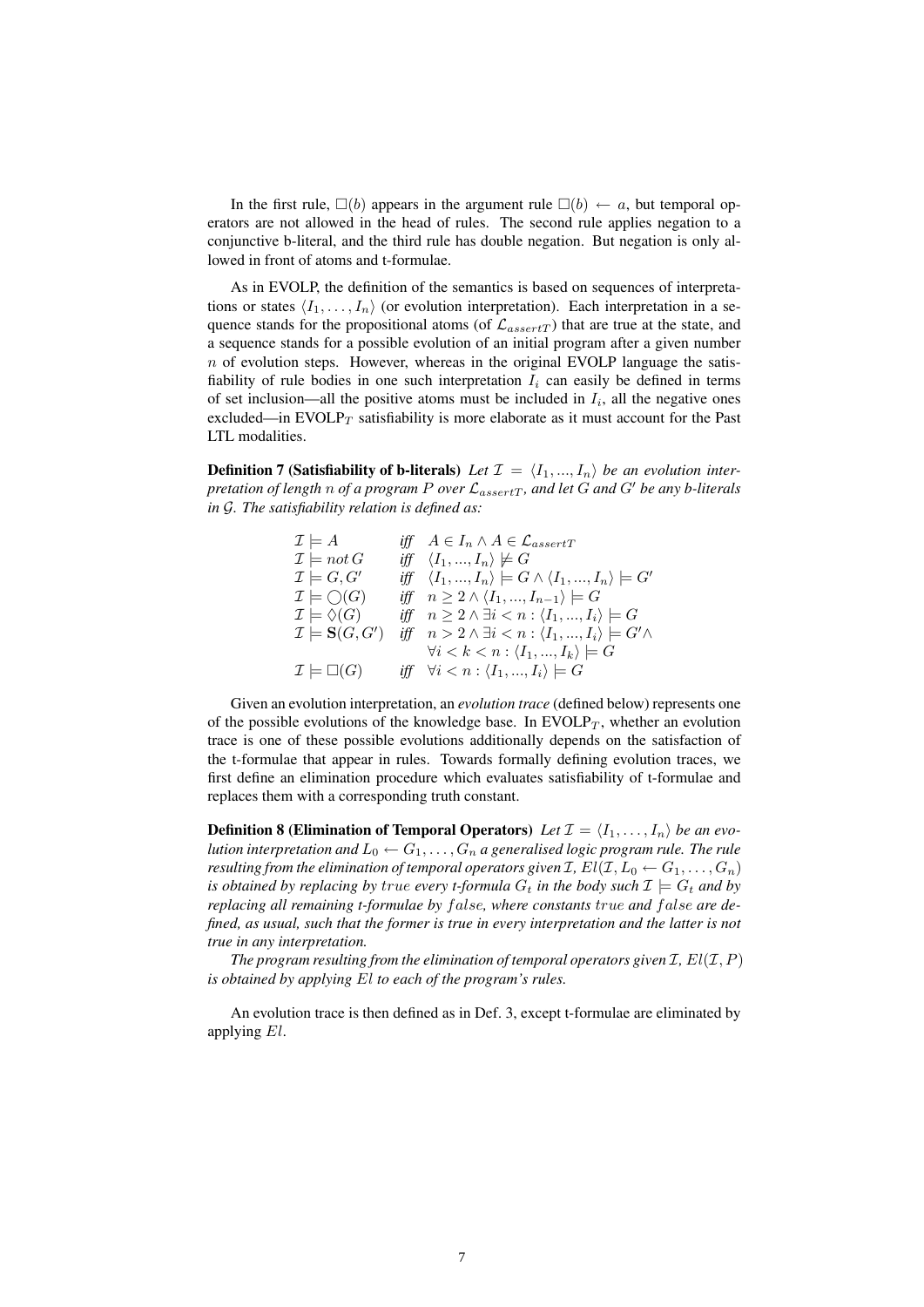In the first rule,  $\Box(b)$  appears in the argument rule  $\Box(b) \leftarrow a$ , but temporal operators are not allowed in the head of rules. The second rule applies negation to a conjunctive b-literal, and the third rule has double negation. But negation is only allowed in front of atoms and t-formulae.

As in EVOLP, the definition of the semantics is based on sequences of interpretations or states  $\langle I_1, \ldots, I_n \rangle$  (or evolution interpretation). Each interpretation in a sequence stands for the propositional atoms (of  $\mathcal{L}_{assertT}$ ) that are true at the state, and a sequence stands for a possible evolution of an initial program after a given number  $n$  of evolution steps. However, whereas in the original EVOLP language the satisfiability of rule bodies in one such interpretation  $I_i$  can easily be defined in terms of set inclusion—all the positive atoms must be included in  $I_i$ , all the negative ones excluded—in  $EVOLP_T$  satisfiability is more elaborate as it must account for the Past LTL modalities.

**Definition 7 (Satisfiability of b-literals)** Let  $\mathcal{I} = \langle I_1, ..., I_n \rangle$  be an evolution inter*pretation of length n of a program P over*  $\mathcal{L}_{assertT}$ *, and let*  $G$  *and*  $G'$  *be any b-literals in* G*. The satisfiability relation is defined as:*

> $\mathcal{I} \models A$  *iff*  $A \in I_n \land A \in \mathcal{L}_{assertT}$  $\mathcal{I} \models not\, G \qquad \text{iff} \quad \langle I_1, ..., I_n \rangle \not\models G$  $\mathcal{I} \models G, G'$  *iff*  $\langle I_1, ..., I_n \rangle \models G \land \langle I_1, ..., I_n \rangle \models G'$  $\mathcal{I} \models \bigcirc(G)$  *iff*  $n \geq 2 \land \langle I_1, ..., I_{n-1} \rangle \models G$  $\mathcal{I} \models \Diamond(G)$  *iff*  $n \geq 2 \land \exists i < n : \langle I_1,...,I_i \rangle \models G$  $\mathcal{I} \models \mathbf{S}(G, G')$  *iff*  $n > 2 \land \exists i < n : \langle I_1, ..., I_i \rangle \models G' \land \exists i$  $\forall i < k < n : \langle I_1, ..., I_k \rangle \models G$  $\mathcal{I} \models \Box(G)$  *iff*  $\forall i \leq n : \langle I_1, ..., I_i \rangle \models G$

Given an evolution interpretation, an *evolution trace* (defined below) represents one of the possible evolutions of the knowledge base. In EVOLP $_T$ , whether an evolution trace is one of these possible evolutions additionally depends on the satisfaction of the t-formulae that appear in rules. Towards formally defining evolution traces, we first define an elimination procedure which evaluates satisfiability of t-formulae and replaces them with a corresponding truth constant.

**Definition 8 (Elimination of Temporal Operators)** Let  $\mathcal{I} = \langle I_1, \ldots, I_n \rangle$  be an evo*lution interpretation and*  $L_0 \leftarrow G_1, \ldots, G_n$  *a generalised logic program rule. The rule resulting from the elimination of temporal operators given I*,  $El(\mathcal{I}, L_0 \leftarrow G_1, \ldots, G_n)$ *is obtained by replacing by true every t-formula*  $G_t$  *in the body such*  $\mathcal{I} \models G_t$  *and by replacing all remaining t-formulae by false, where constants true and false are defined, as usual, such that the former is true in every interpretation and the latter is not true in any interpretation.*

*The program resulting from the elimination of temporal operators given*  $I$ *,*  $El(I, P)$ *is obtained by applying* El *to each of the program's rules.*

An evolution trace is then defined as in Def. 3, except t-formulae are eliminated by applying El.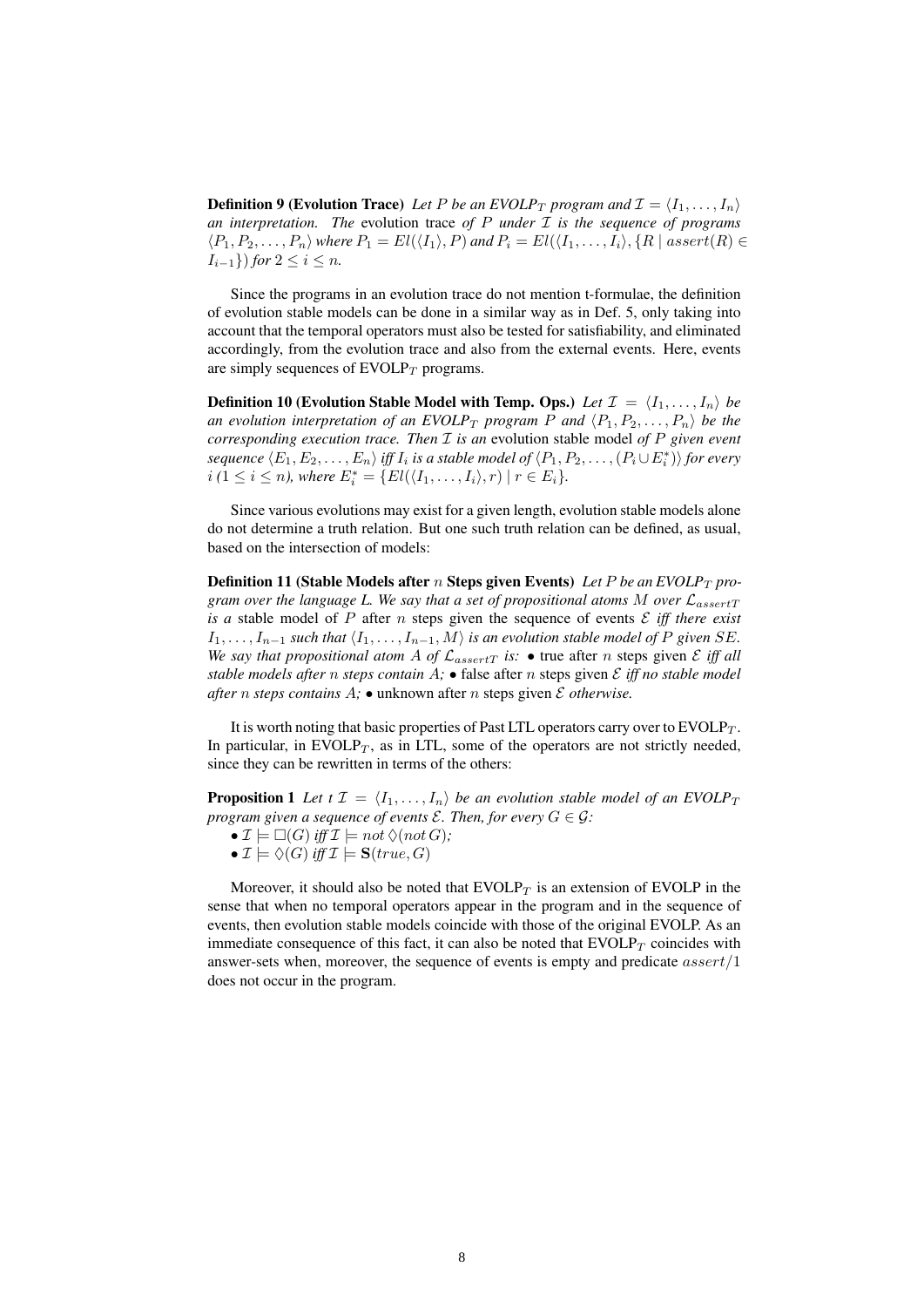**Definition 9 (Evolution Trace)** Let P be an EVOLP<sub>T</sub> program and  $\mathcal{I} = \langle I_1, \ldots, I_n \rangle$ *an interpretation. The* evolution trace *of* P *under* I *is the sequence of programs*  $\langle P_1, P_2, \ldots, P_n \rangle$  *where*  $P_1 = El(\langle I_1 \rangle, P)$  *and*  $P_i = El(\langle I_1, \ldots, I_i \rangle, \{R \mid assert(R) \in P_i\}$  $I_{i-1}$ }) *for*  $2 \le i \le n$ *.* 

Since the programs in an evolution trace do not mention t-formulae, the definition of evolution stable models can be done in a similar way as in Def. 5, only taking into account that the temporal operators must also be tested for satisfiability, and eliminated accordingly, from the evolution trace and also from the external events. Here, events are simply sequences of  $EVOLP_T$  programs.

**Definition 10 (Evolution Stable Model with Temp. Ops.)** Let  $\mathcal{I} = \langle I_1, \ldots, I_n \rangle$  be *an evolution interpretation of an EVOLP<sub>T</sub> program P and*  $\langle P_1, P_2, \ldots, P_n \rangle$  *be the corresponding execution trace. Then* I *is an* evolution stable model *of* P *given event* sequence  $\langle E_1, E_2, \ldots, E_n \rangle$  iff  $I_i$  is a stable model of  $\langle P_1, P_2, \ldots, (P_i \cup E_i^*) \rangle$  for every  $i (1 \leq i \leq n)$ , where  $E_i^* = \{ El(\langle I_1, \ldots, I_i \rangle, r) \mid r \in E_i \}.$ 

Since various evolutions may exist for a given length, evolution stable models alone do not determine a truth relation. But one such truth relation can be defined, as usual, based on the intersection of models:

**Definition 11 (Stable Models after n Steps given Events)** Let P be an  $EVOLP_T$  pro*gram over the language L. We say that a set of propositional atoms* M *over* LassertT *is a* stable model of  $P$  after  $n$  steps given the sequence of events  $E$  *iff there exist*  $I_1, \ldots, I_{n-1}$  *such that*  $\langle I_1, \ldots, I_{n-1}, M \rangle$  *is an evolution stable model of* P *given* SE. *We say that propositional atom A of*  $\mathcal{L}_{assertT}$  *is:* • true after *n* steps given  $\mathcal{E}$  *iff all stable models after n steps contain*  $A$ ; • false after *n* steps given  $E$  *iff no stable model after n steps contains*  $A$ ;  $\bullet$  **unknown** after *n* steps given  $\mathcal E$  *otherwise.* 

It is worth noting that basic properties of Past LTL operators carry over to  $EVOLP_T$ . In particular, in  $EVOLP_T$ , as in LTL, some of the operators are not strictly needed, since they can be rewritten in terms of the others:

**Proposition 1** Let  $t \mathcal{I} = \langle I_1, \ldots, I_n \rangle$  be an evolution stable model of an EVOLP<sub>T</sub> *program given a sequence of events*  $\mathcal{E}$ *. Then, for every*  $G \in \mathcal{G}$ *:* 

- $\mathcal{I} \models \Box(G)$  *iff*  $\mathcal{I} \models not \Diamond (not\ G);$
- $\mathcal{I} \models \Diamond(G)$  *iff*  $\mathcal{I} \models S(true, G)$

Moreover, it should also be noted that  $EVOLP_T$  is an extension of EVOLP in the sense that when no temporal operators appear in the program and in the sequence of events, then evolution stable models coincide with those of the original EVOLP. As an immediate consequence of this fact, it can also be noted that  $EVOLP<sub>T</sub>$  coincides with answer-sets when, moreover, the sequence of events is empty and predicate  $assert/1$ does not occur in the program.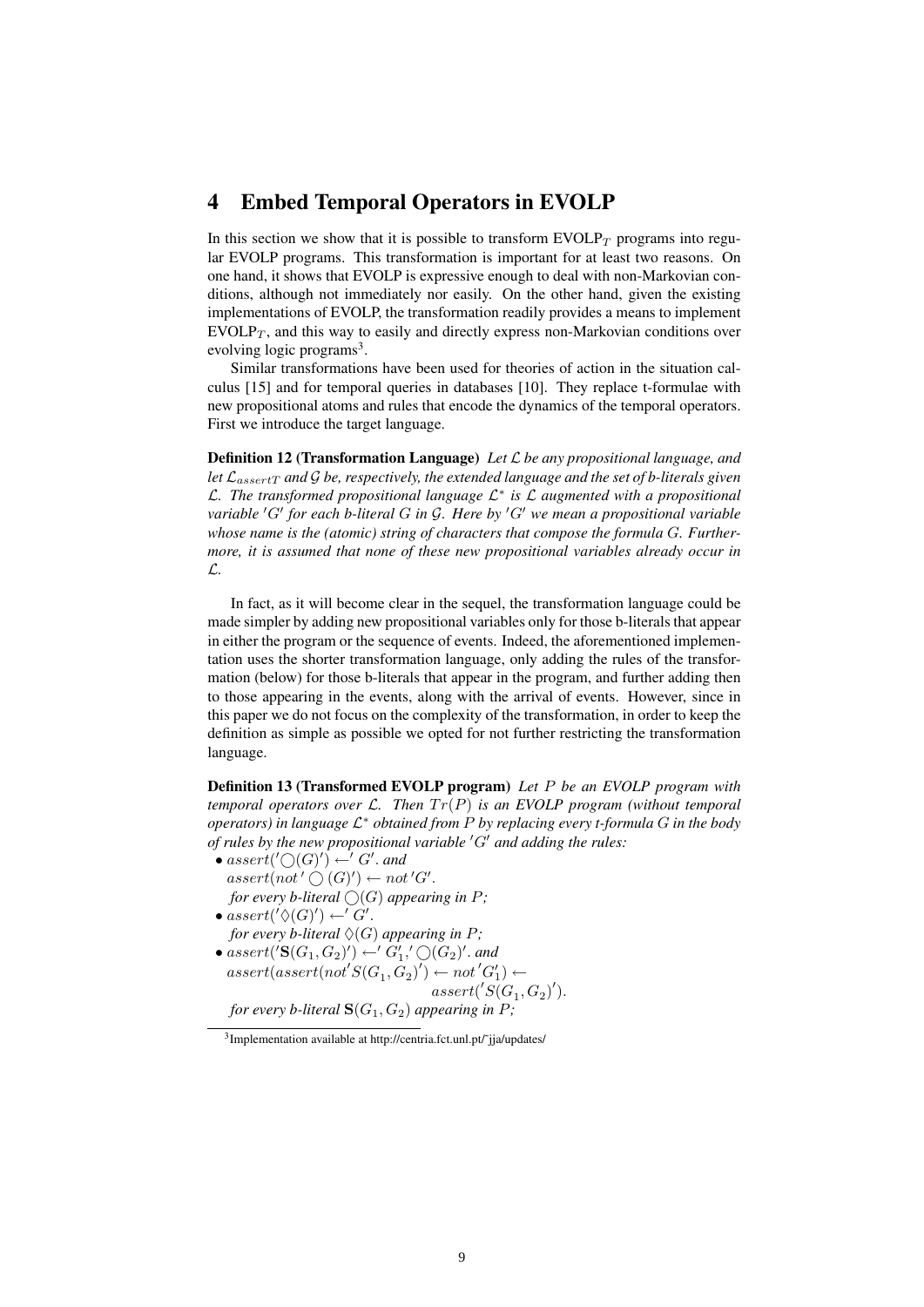#### 4 Embed Temporal Operators in EVOLP

In this section we show that it is possible to transform  $EVOLP_T$  programs into regular EVOLP programs. This transformation is important for at least two reasons. On one hand, it shows that EVOLP is expressive enough to deal with non-Markovian conditions, although not immediately nor easily. On the other hand, given the existing implementations of EVOLP, the transformation readily provides a means to implement  $EVOLP_T$ , and this way to easily and directly express non-Markovian conditions over evolving logic programs<sup>3</sup>.

Similar transformations have been used for theories of action in the situation calculus [15] and for temporal queries in databases [10]. They replace t-formulae with new propositional atoms and rules that encode the dynamics of the temporal operators. First we introduce the target language.

Definition 12 (Transformation Language) *Let* L *be any propositional language, and let* LassertT *and* G *be, respectively, the extended language and the set of b-literals given* L*. The transformed propositional language* L ∗ *is* L *augmented with a propositional variable* 'G' for each b-literal G in G. Here by 'G' we mean a propositional variable *whose name is the (atomic) string of characters that compose the formula* G*. Furthermore, it is assumed that none of these new propositional variables already occur in* L*.*

In fact, as it will become clear in the sequel, the transformation language could be made simpler by adding new propositional variables only for those b-literals that appear in either the program or the sequence of events. Indeed, the aforementioned implementation uses the shorter transformation language, only adding the rules of the transformation (below) for those b-literals that appear in the program, and further adding then to those appearing in the events, along with the arrival of events. However, since in this paper we do not focus on the complexity of the transformation, in order to keep the definition as simple as possible we opted for not further restricting the transformation language.

Definition 13 (Transformed EVOLP program) *Let* P *be an EVOLP program with temporal operators over*  $\mathcal{L}$ *. Then*  $Tr(P)$  *is an EVOLP program (without temporal operators) in language* L <sup>∗</sup> *obtained from* P *by replacing every t-formula* G *in the body of rules by the new propositional variable 'G' and adding the rules:* 

- $assert('O(G)') \leftarrow' G'.$  and  $assert(not' \bigcirc (G)') \leftarrow not'G'.$ *for every b-literal*  $\bigcirc$  *(G) appearing in P*;
- $assert(' \Diamond (G)') \leftarrow' G'.$ *for every b-literal*  $\Diamond$ (*G*) *appearing in P*;
- $assert('S(G_1, G_2)') \leftarrow' G_1',' \bigcirc(G_2)'.$  and  $assert(assert(not'S(G_1, G_2)') \leftarrow not'G_1') \leftarrow$  $assert('S(G<sub>1</sub>, G<sub>2</sub>)').$

*for every b-literal*  $S(G_1, G_2)$  *appearing in P*;

<sup>&</sup>lt;sup>3</sup>Implementation available at http://centria.fct.unl.pt/~jja/updates/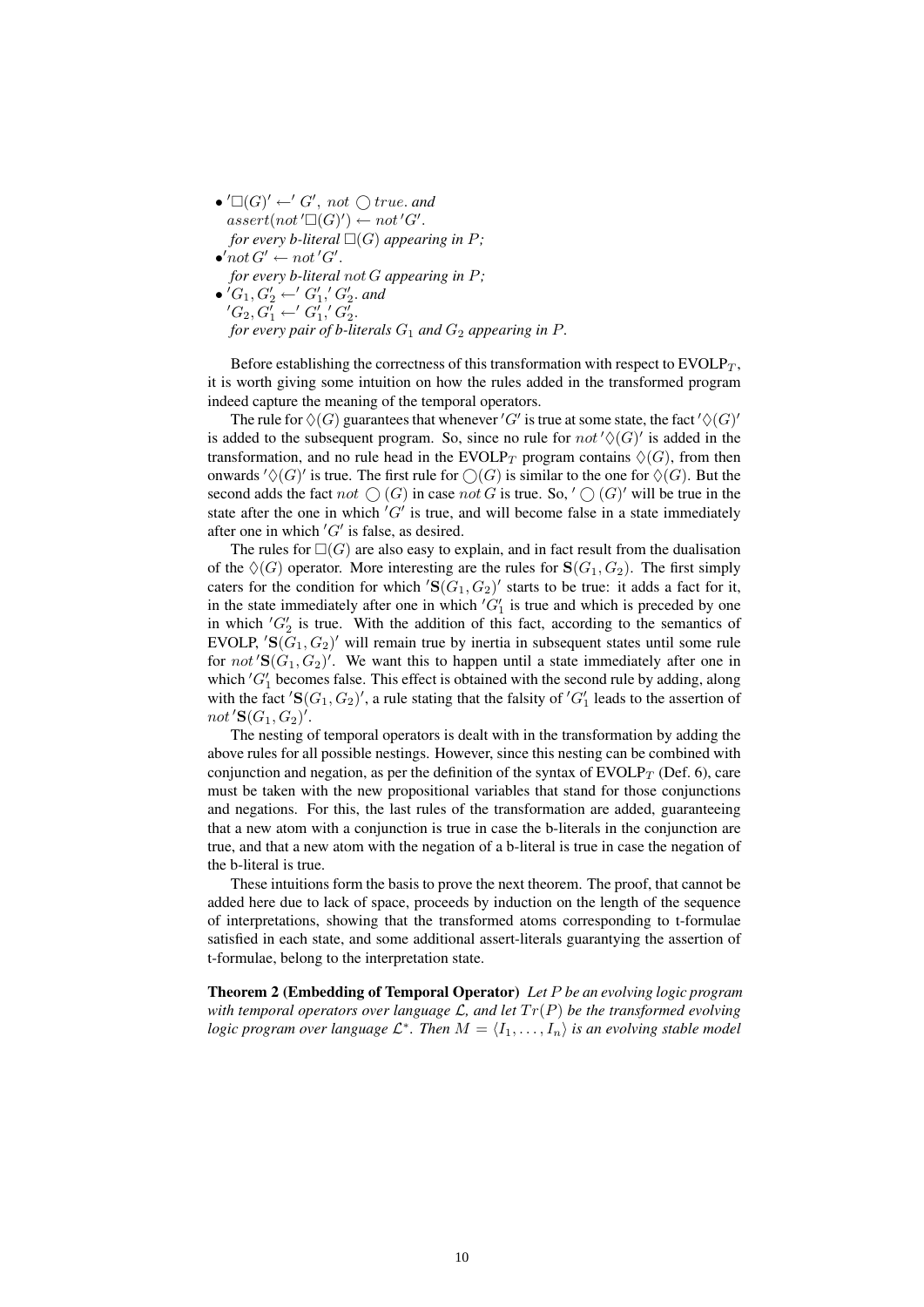$\bullet' \square(G)' \leftarrow' G', not \bigcirc true.$  and  $assert(not'\Box(G)') \leftarrow not'G'.$ *for every b-literal*  $\square(G)$  *appearing in* P;  $\bullet' not G' \leftarrow not' G'.$ *for every b-literal* not G *appearing in* P*;* •  $'G_1, G'_2 \leftarrow' G'_1, G'_2$  and  $'G_2, G'_1 \leftarrow' G'_1, G'_2.$ *for every pair of b-literals*  $G_1$  *and*  $G_2$  *appearing in*  $P$ *.* 

Before establishing the correctness of this transformation with respect to  $EVOLP_T$ , it is worth giving some intuition on how the rules added in the transformed program indeed capture the meaning of the temporal operators.

The rule for  $\Diamond(G)$  guarantees that whenever 'G' is true at some state, the fact ' $\Diamond(G)$ ' is added to the subsequent program. So, since no rule for  $not'\diamondsuit(G)'$  is added in the transformation, and no rule head in the EVOLP<sub>T</sub> program contains  $\Diamond(G)$ , from then onwards  $\sqrt{(G)}'$  is true. The first rule for  $\mathcal{O}(G)$  is similar to the one for  $\mathcal{O}(G)$ . But the second adds the fact not  $\bigcirc$  (G) in case not G is true. So, ' $\bigcirc$  (G)' will be true in the state after the one in which  $'G'$  is true, and will become false in a state immediately after one in which  $'G'$  is false, as desired.

The rules for  $\square(G)$  are also easy to explain, and in fact result from the dualisation of the  $\Diamond(G)$  operator. More interesting are the rules for  $S(G_1, G_2)$ . The first simply caters for the condition for which  $'\mathbf{S}(G_1, G_2)'$  starts to be true: it adds a fact for it, in the state immediately after one in which  $'G_1'$  is true and which is preceded by one in which  $'G_2'$  is true. With the addition of this fact, according to the semantics of EVOLP,  $'\mathbf{S}(G_1, G_2)'\$  will remain true by inertia in subsequent states until some rule for not  $'\mathbf{S}(G_1, G_2)'.$  We want this to happen until a state immediately after one in which  $'G_1'$  becomes false. This effect is obtained with the second rule by adding, along with the fact  $'\mathbf{S}(G_1, G_2)$ ', a rule stating that the falsity of  $'G_1'$  leads to the assertion of not  $'\mathbf{S}(G_1, G_2)'.$ 

The nesting of temporal operators is dealt with in the transformation by adding the above rules for all possible nestings. However, since this nesting can be combined with conjunction and negation, as per the definition of the syntax of  $EVOLP<sub>T</sub>$  (Def. 6), care must be taken with the new propositional variables that stand for those conjunctions and negations. For this, the last rules of the transformation are added, guaranteeing that a new atom with a conjunction is true in case the b-literals in the conjunction are true, and that a new atom with the negation of a b-literal is true in case the negation of the b-literal is true.

These intuitions form the basis to prove the next theorem. The proof, that cannot be added here due to lack of space, proceeds by induction on the length of the sequence of interpretations, showing that the transformed atoms corresponding to t-formulae satisfied in each state, and some additional assert-literals guarantying the assertion of t-formulae, belong to the interpretation state.

Theorem 2 (Embedding of Temporal Operator) *Let* P *be an evolving logic program with temporal operators over language*  $\mathcal{L}$ , and let  $Tr(P)$  *be the transformed evolving logic program over language*  $\mathcal{L}^*$ . Then  $M = \langle I_1, \ldots, I_n \rangle$  *is an evolving stable model*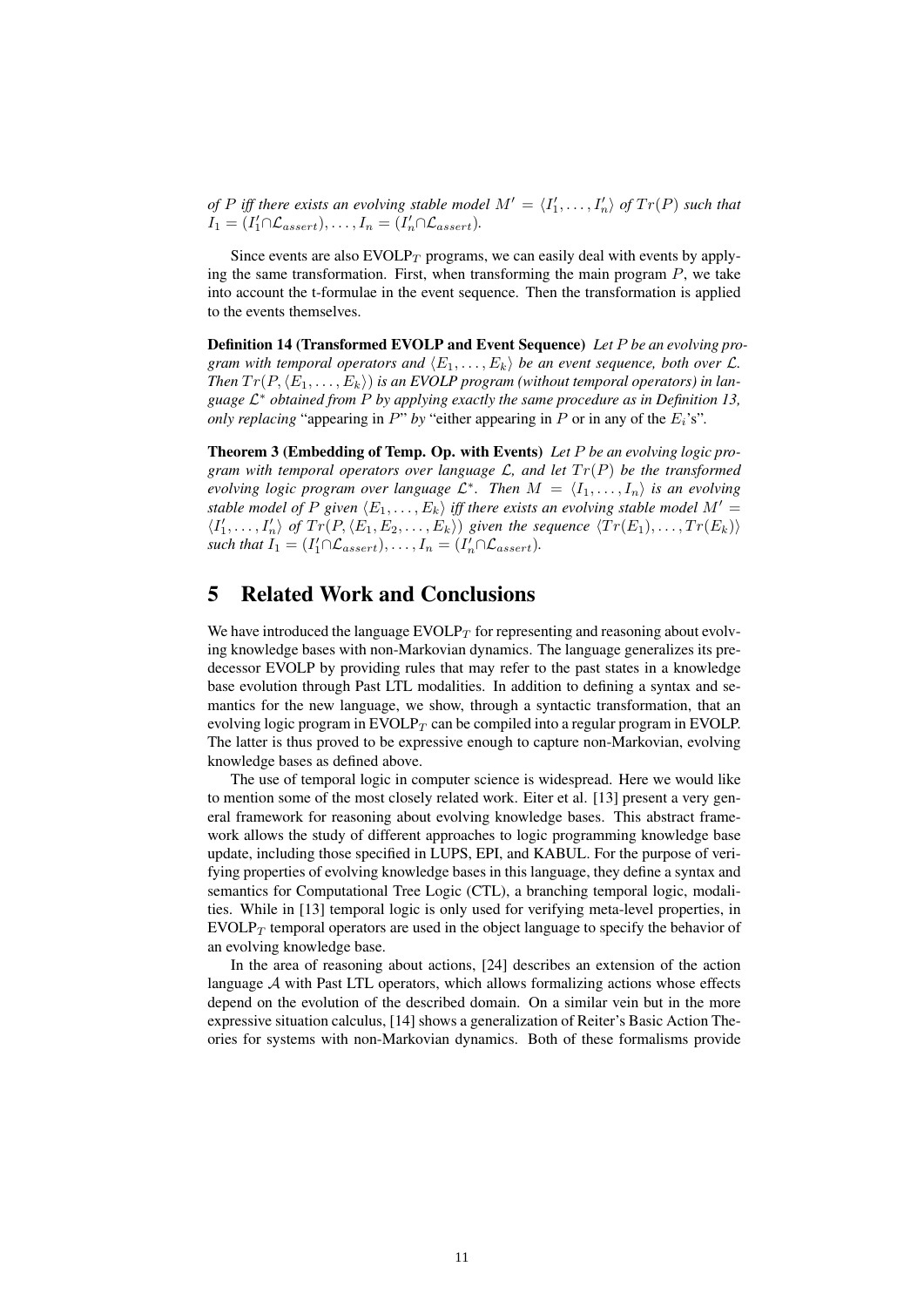*of* P iff there exists an evolving stable model  $M' = \langle I'_1, \ldots, I'_n \rangle$  of  $Tr(P)$  such that  $I_1 = (I'_1 \cap \mathcal{L}_{assert}), \ldots, I_n = (I'_n \cap \mathcal{L}_{assert}).$ 

Since events are also  $EVOLP_T$  programs, we can easily deal with events by applying the same transformation. First, when transforming the main program  $P$ , we take into account the t-formulae in the event sequence. Then the transformation is applied to the events themselves.

Definition 14 (Transformed EVOLP and Event Sequence) *Let* P *be an evolving program with temporal operators and*  $\langle E_1, \ldots, E_k \rangle$  *be an event sequence, both over*  $\mathcal{L}$ *. Then*  $Tr(P, \langle E_1, \ldots, E_k \rangle)$  *is an EVOLP program (without temporal operators) in language* L <sup>∗</sup> *obtained from* P *by applying exactly the same procedure as in Definition 13, only replacing* "appearing in  $P$ " *by* "either appearing in  $P$  or in any of the  $E_i$ 's".

Theorem 3 (Embedding of Temp. Op. with Events) *Let* P *be an evolving logic program with temporal operators over language*  $\mathcal{L}$ *, and let*  $Tr(P)$  *be the transformed evolving logic program over language*  $\mathcal{L}^*$ . Then  $M = \langle I_1, \ldots, I_n \rangle$  is an evolving *stable model of* P given  $\langle E_1, \ldots, E_k \rangle$  *iff there exists an evolving stable model*  $M' =$  $\langle I'_1, \ldots, I'_n \rangle$  of  $Tr(P, \langle E_1, E_2, \ldots, E_k \rangle)$  given the sequence  $\langle Tr(E_1), \ldots, Tr(E_k) \rangle$ such that  $I_1 = (I'_1 \cap \mathcal{L}_{assert}), \ldots, I_n = (I'_n \cap \mathcal{L}_{assert}).$ 

## 5 Related Work and Conclusions

We have introduced the language  $EVOLP_T$  for representing and reasoning about evolving knowledge bases with non-Markovian dynamics. The language generalizes its predecessor EVOLP by providing rules that may refer to the past states in a knowledge base evolution through Past LTL modalities. In addition to defining a syntax and semantics for the new language, we show, through a syntactic transformation, that an evolving logic program in  $EVOLP<sub>T</sub>$  can be compiled into a regular program in EVOLP. The latter is thus proved to be expressive enough to capture non-Markovian, evolving knowledge bases as defined above.

The use of temporal logic in computer science is widespread. Here we would like to mention some of the most closely related work. Eiter et al. [13] present a very general framework for reasoning about evolving knowledge bases. This abstract framework allows the study of different approaches to logic programming knowledge base update, including those specified in LUPS, EPI, and KABUL. For the purpose of verifying properties of evolving knowledge bases in this language, they define a syntax and semantics for Computational Tree Logic (CTL), a branching temporal logic, modalities. While in [13] temporal logic is only used for verifying meta-level properties, in  $EVOLP_T$  temporal operators are used in the object language to specify the behavior of an evolving knowledge base.

In the area of reasoning about actions, [24] describes an extension of the action language  $A$  with Past LTL operators, which allows formalizing actions whose effects depend on the evolution of the described domain. On a similar vein but in the more expressive situation calculus, [14] shows a generalization of Reiter's Basic Action Theories for systems with non-Markovian dynamics. Both of these formalisms provide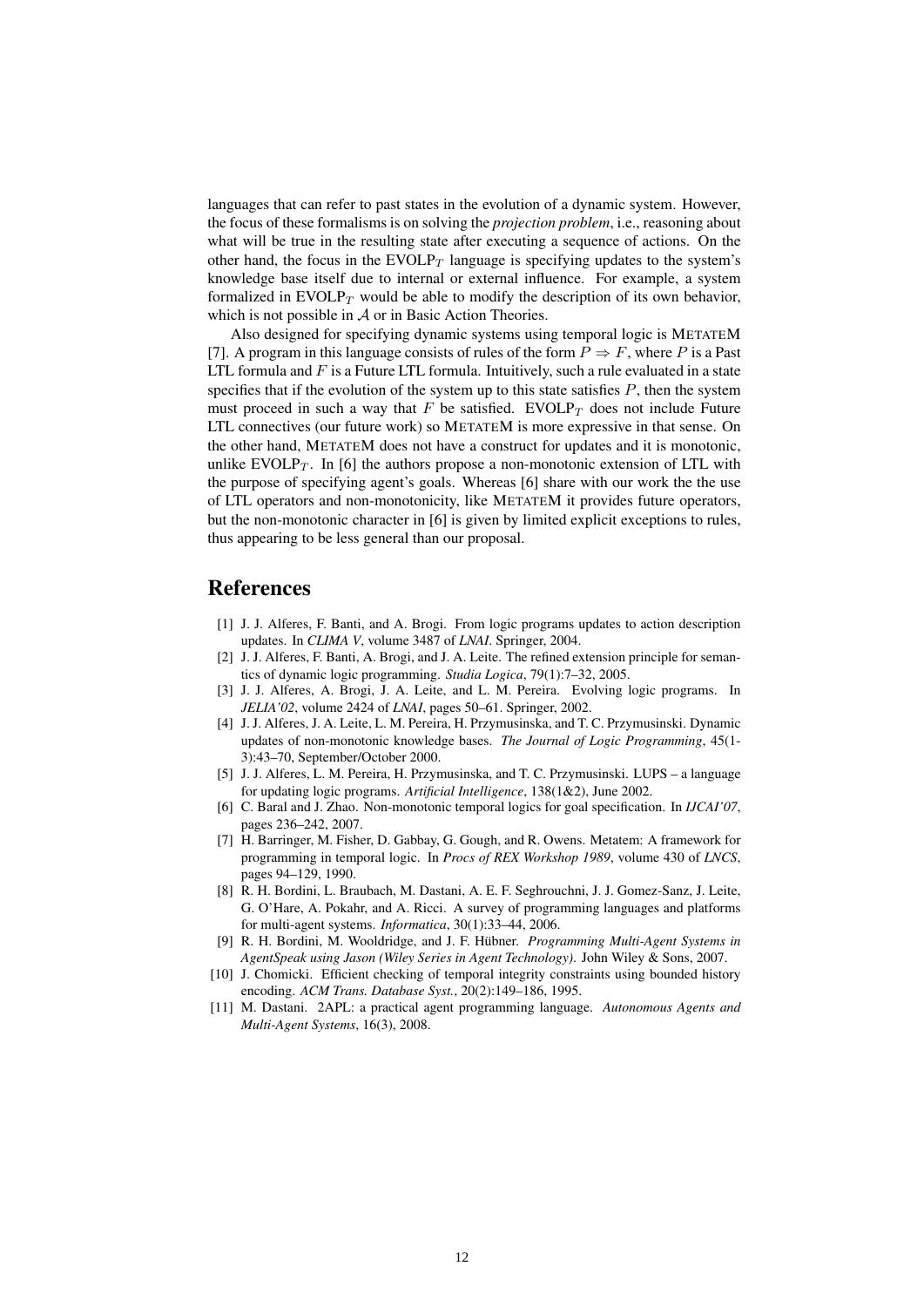languages that can refer to past states in the evolution of a dynamic system. However, the focus of these formalisms is on solving the *projection problem*, i.e., reasoning about what will be true in the resulting state after executing a sequence of actions. On the other hand, the focus in the EVOLP $_T$  language is specifying updates to the system's knowledge base itself due to internal or external influence. For example, a system formalized in  $EVOLP_T$  would be able to modify the description of its own behavior, which is not possible in A or in Basic Action Theories.

Also designed for specifying dynamic systems using temporal logic is METATEM [7]. A program in this language consists of rules of the form  $P \Rightarrow F$ , where P is a Past LTL formula and  $F$  is a Future LTL formula. Intuitively, such a rule evaluated in a state specifies that if the evolution of the system up to this state satisfies  $P$ , then the system must proceed in such a way that F be satisfied. EVOLP $_T$  does not include Future LTL connectives (our future work) so METATEM is more expressive in that sense. On the other hand, METATEM does not have a construct for updates and it is monotonic, unlike EVOLP $_T$ . In [6] the authors propose a non-monotonic extension of LTL with the purpose of specifying agent's goals. Whereas [6] share with our work the the use of LTL operators and non-monotonicity, like METATEM it provides future operators, but the non-monotonic character in [6] is given by limited explicit exceptions to rules, thus appearing to be less general than our proposal.

#### References

- [1] J. J. Alferes, F. Banti, and A. Brogi. From logic programs updates to action description updates. In *CLIMA V*, volume 3487 of *LNAI*. Springer, 2004.
- [2] J. J. Alferes, F. Banti, A. Brogi, and J. A. Leite. The refined extension principle for semantics of dynamic logic programming. *Studia Logica*, 79(1):7–32, 2005.
- [3] J. J. Alferes, A. Brogi, J. A. Leite, and L. M. Pereira. Evolving logic programs. In *JELIA'02*, volume 2424 of *LNAI*, pages 50–61. Springer, 2002.
- [4] J. J. Alferes, J. A. Leite, L. M. Pereira, H. Przymusinska, and T. C. Przymusinski. Dynamic updates of non-monotonic knowledge bases. *The Journal of Logic Programming*, 45(1- 3):43–70, September/October 2000.
- [5] J. J. Alferes, L. M. Pereira, H. Przymusinska, and T. C. Przymusinski. LUPS a language for updating logic programs. *Artificial Intelligence*, 138(1&2), June 2002.
- [6] C. Baral and J. Zhao. Non-monotonic temporal logics for goal specification. In *IJCAI'07*, pages 236–242, 2007.
- [7] H. Barringer, M. Fisher, D. Gabbay, G. Gough, and R. Owens. Metatem: A framework for programming in temporal logic. In *Procs of REX Workshop 1989*, volume 430 of *LNCS*, pages 94–129, 1990.
- [8] R. H. Bordini, L. Braubach, M. Dastani, A. E. F. Seghrouchni, J. J. Gomez-Sanz, J. Leite, G. O'Hare, A. Pokahr, and A. Ricci. A survey of programming languages and platforms for multi-agent systems. *Informatica*, 30(1):33–44, 2006.
- [9] R. H. Bordini, M. Wooldridge, and J. F. Hübner. *Programming Multi-Agent Systems in AgentSpeak using Jason (Wiley Series in Agent Technology)*. John Wiley & Sons, 2007.
- [10] J. Chomicki. Efficient checking of temporal integrity constraints using bounded history encoding. *ACM Trans. Database Syst.*, 20(2):149–186, 1995.
- [11] M. Dastani. 2APL: a practical agent programming language. *Autonomous Agents and Multi-Agent Systems*, 16(3), 2008.